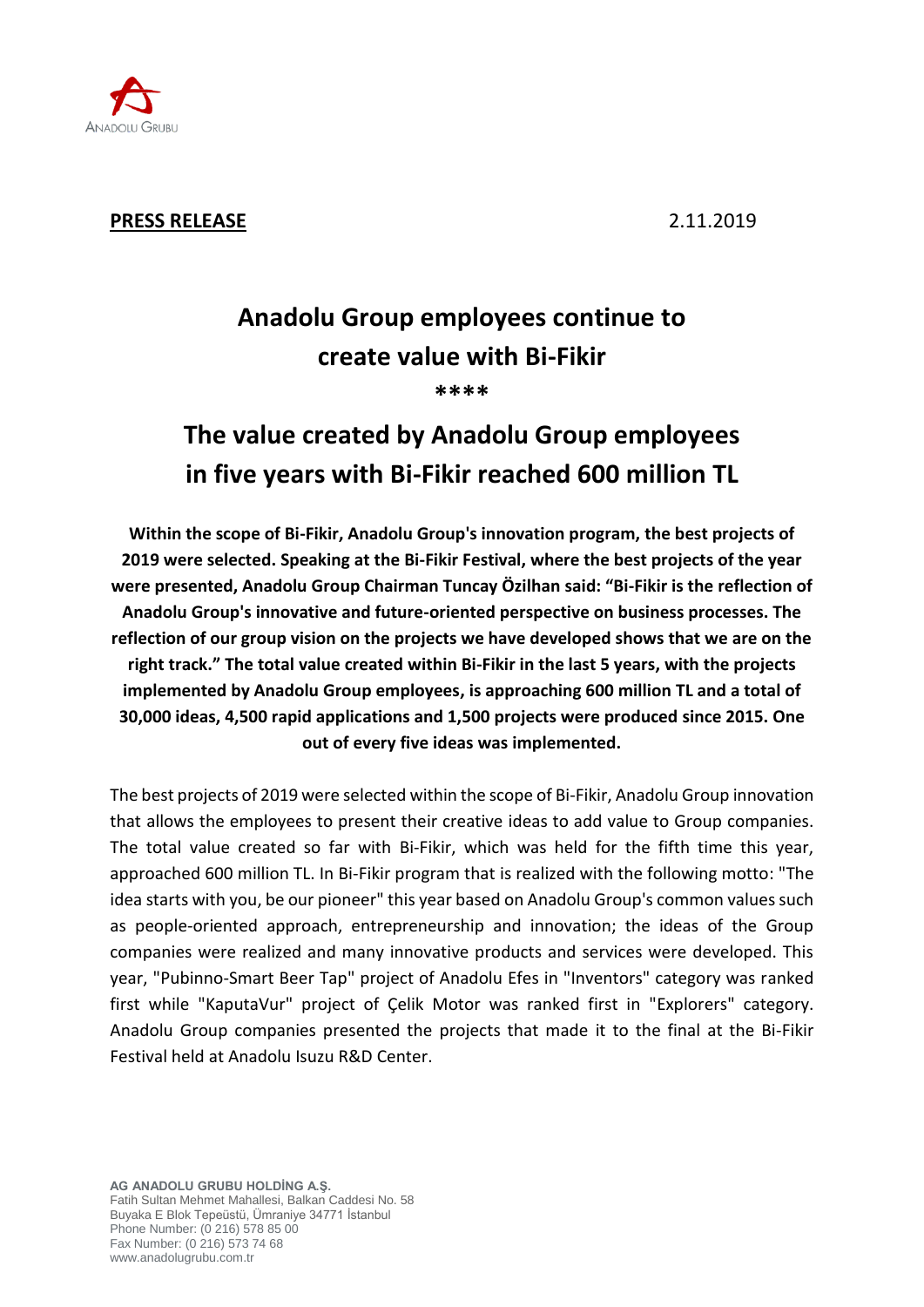

## **PRESS RELEASE** 2.11.2019

## **Anadolu Group employees continue to create value with Bi-Fikir \*\*\*\***

# **The value created by Anadolu Group employees in five years with Bi-Fikir reached 600 million TL**

**Within the scope of Bi-Fikir, Anadolu Group's innovation program, the best projects of 2019 were selected. Speaking at the Bi-Fikir Festival, where the best projects of the year were presented, Anadolu Group Chairman Tuncay Özilhan said: "Bi-Fikir is the reflection of Anadolu Group's innovative and future-oriented perspective on business processes. The reflection of our group vision on the projects we have developed shows that we are on the right track." The total value created within Bi-Fikir in the last 5 years, with the projects implemented by Anadolu Group employees, is approaching 600 million TL and a total of 30,000 ideas, 4,500 rapid applications and 1,500 projects were produced since 2015. One out of every five ideas was implemented.**

The best projects of 2019 were selected within the scope of Bi-Fikir, Anadolu Group innovation that allows the employees to present their creative ideas to add value to Group companies. The total value created so far with Bi-Fikir, which was held for the fifth time this year, approached 600 million TL. In Bi-Fikir program that is realized with the following motto: "The idea starts with you, be our pioneer" this year based on Anadolu Group's common values such as people-oriented approach, entrepreneurship and innovation; the ideas of the Group companies were realized and many innovative products and services were developed. This year, "Pubinno-Smart Beer Tap" project of Anadolu Efes in "Inventors" category was ranked first while "KaputaVur" project of Çelik Motor was ranked first in "Explorers" category. Anadolu Group companies presented the projects that made it to the final at the Bi-Fikir Festival held at Anadolu Isuzu R&D Center.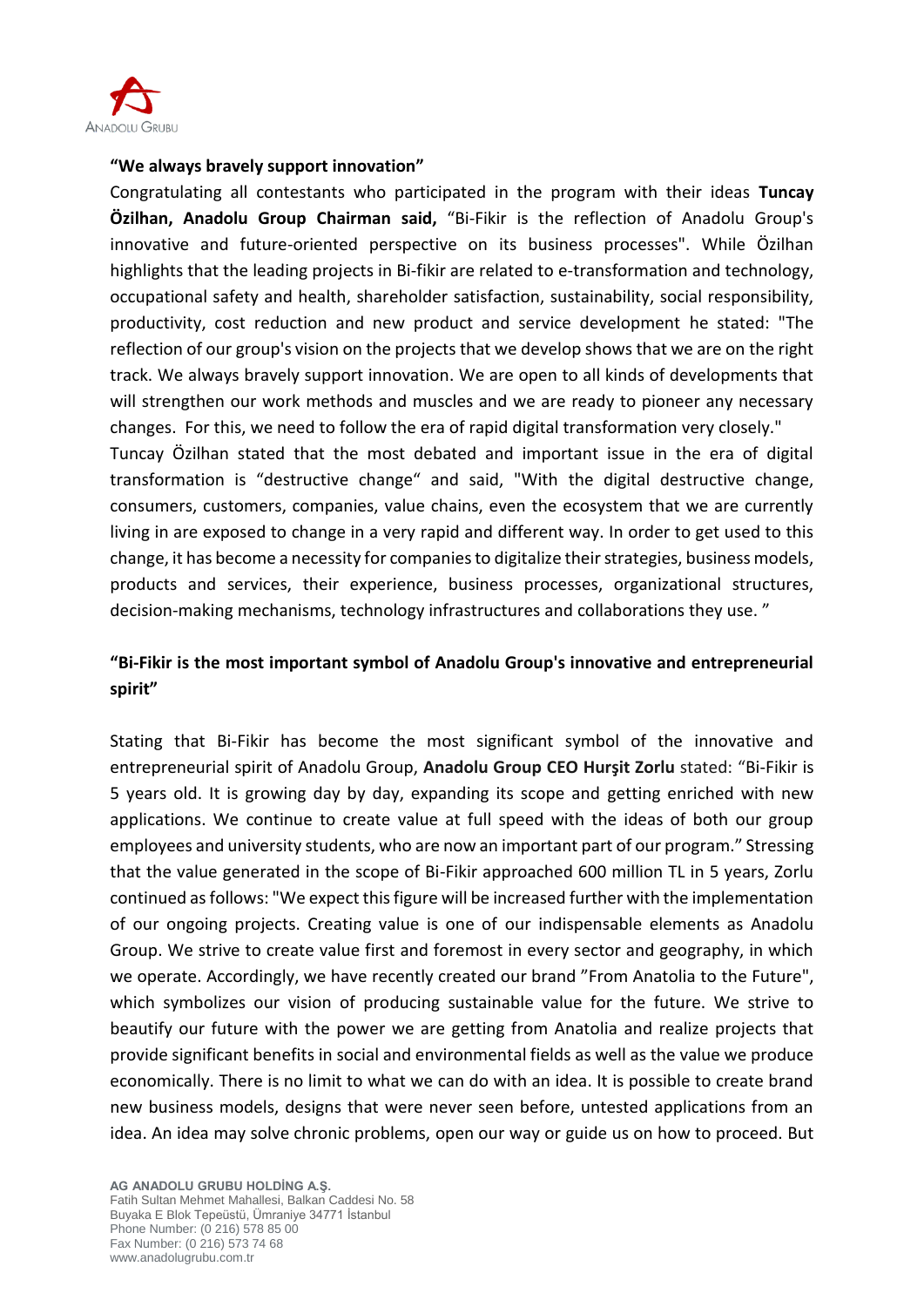

#### **"We always bravely support innovation"**

Congratulating all contestants who participated in the program with their ideas **Tuncay Özilhan, Anadolu Group Chairman said,** "Bi-Fikir is the reflection of Anadolu Group's innovative and future-oriented perspective on its business processes". While Özilhan highlights that the leading projects in Bi-fikir are related to e-transformation and technology, occupational safety and health, shareholder satisfaction, sustainability, social responsibility, productivity, cost reduction and new product and service development he stated: "The reflection of our group's vision on the projects that we develop shows that we are on the right track. We always bravely support innovation. We are open to all kinds of developments that will strengthen our work methods and muscles and we are ready to pioneer any necessary changes. For this, we need to follow the era of rapid digital transformation very closely."

Tuncay Özilhan stated that the most debated and important issue in the era of digital transformation is "destructive change" and said, "With the digital destructive change, consumers, customers, companies, value chains, even the ecosystem that we are currently living in are exposed to change in a very rapid and different way. In order to get used to this change, it has become a necessity for companies to digitalize their strategies, business models, products and services, their experience, business processes, organizational structures, decision-making mechanisms, technology infrastructures and collaborations they use. "

## **"Bi-Fikir is the most important symbol of Anadolu Group's innovative and entrepreneurial spirit"**

Stating that Bi-Fikir has become the most significant symbol of the innovative and entrepreneurial spirit of Anadolu Group, **Anadolu Group CEO Hurşit Zorlu** stated: "Bi-Fikir is 5 years old. It is growing day by day, expanding its scope and getting enriched with new applications. We continue to create value at full speed with the ideas of both our group employees and university students, who are now an important part of our program." Stressing that the value generated in the scope of Bi-Fikir approached 600 million TL in 5 years, Zorlu continued as follows: "We expect this figure will be increased further with the implementation of our ongoing projects. Creating value is one of our indispensable elements as Anadolu Group. We strive to create value first and foremost in every sector and geography, in which we operate. Accordingly, we have recently created our brand "From Anatolia to the Future", which symbolizes our vision of producing sustainable value for the future. We strive to beautify our future with the power we are getting from Anatolia and realize projects that provide significant benefits in social and environmental fields as well as the value we produce economically. There is no limit to what we can do with an idea. It is possible to create brand new business models, designs that were never seen before, untested applications from an idea. An idea may solve chronic problems, open our way or guide us on how to proceed. But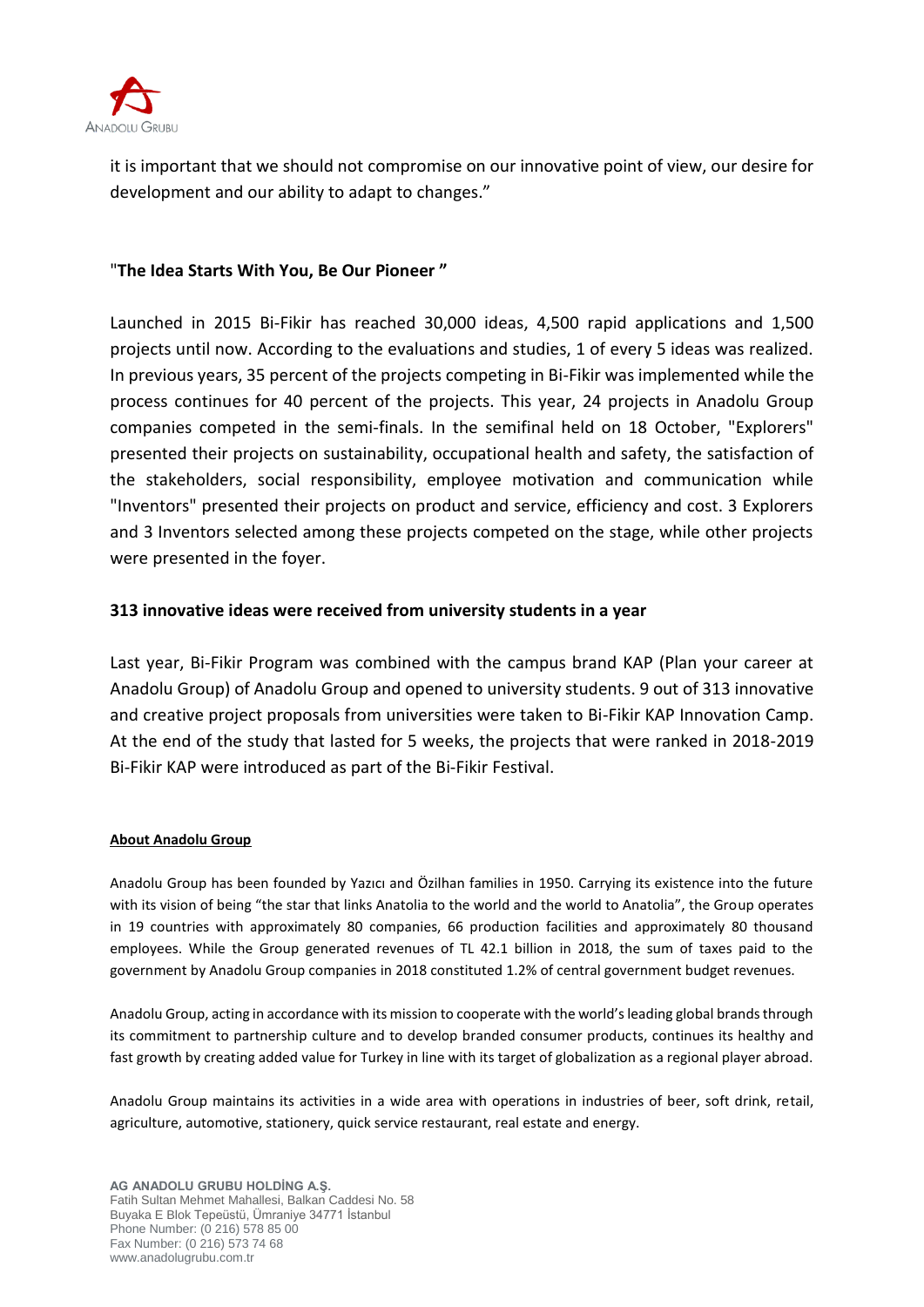

it is important that we should not compromise on our innovative point of view, our desire for development and our ability to adapt to changes."

### "**The Idea Starts With You, Be Our Pioneer "**

Launched in 2015 Bi-Fikir has reached 30,000 ideas, 4,500 rapid applications and 1,500 projects until now. According to the evaluations and studies, 1 of every 5 ideas was realized. In previous years, 35 percent of the projects competing in Bi-Fikir was implemented while the process continues for 40 percent of the projects. This year, 24 projects in Anadolu Group companies competed in the semi-finals. In the semifinal held on 18 October, "Explorers" presented their projects on sustainability, occupational health and safety, the satisfaction of the stakeholders, social responsibility, employee motivation and communication while "Inventors" presented their projects on product and service, efficiency and cost. 3 Explorers and 3 Inventors selected among these projects competed on the stage, while other projects were presented in the foyer.

## **313 innovative ideas were received from university students in a year**

Last year, Bi-Fikir Program was combined with the campus brand KAP (Plan your career at Anadolu Group) of Anadolu Group and opened to university students. 9 out of 313 innovative and creative project proposals from universities were taken to Bi-Fikir KAP Innovation Camp. At the end of the study that lasted for 5 weeks, the projects that were ranked in 2018-2019 Bi-Fikir KAP were introduced as part of the Bi-Fikir Festival.

#### **About Anadolu Group**

Anadolu Group has been founded by Yazıcı and Özilhan families in 1950. Carrying its existence into the future with its vision of being "the star that links Anatolia to the world and the world to Anatolia", the Group operates in 19 countries with approximately 80 companies, 66 production facilities and approximately 80 thousand employees. While the Group generated revenues of TL 42.1 billion in 2018, the sum of taxes paid to the government by Anadolu Group companies in 2018 constituted 1.2% of central government budget revenues.

Anadolu Group, acting in accordance with its mission to cooperate with the world's leading global brands through its commitment to partnership culture and to develop branded consumer products, continues its healthy and fast growth by creating added value for Turkey in line with its target of globalization as a regional player abroad.

Anadolu Group maintains its activities in a wide area with operations in industries of beer, soft drink, retail, agriculture, automotive, stationery, quick service restaurant, real estate and energy.